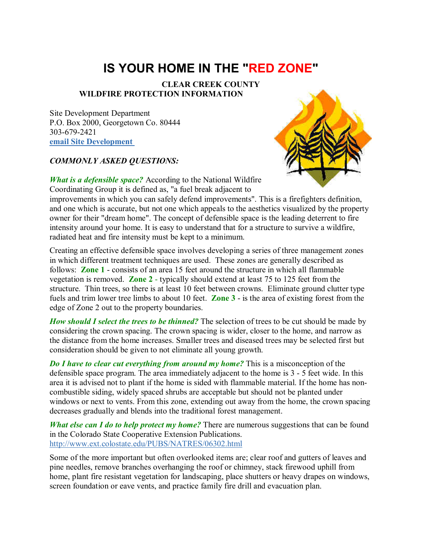## **IS YOUR HOME IN THE "RED ZONE"**

**CLEAR CREEK COUNTY WILDFIRE PROTECTION INFORMATION**

Site Development Department P.O. Box 2000, Georgetown Co. 80444 303-679-2421 **email Site Development**

## *COMMONLY ASKED QUESTIONS:*



*What is a defensible space?* According to the National Wildfire Coordinating Group it is defined as, "a fuel break adjacent to

improvements in which you can safely defend improvements". This is a firefighters definition, and one which is accurate, but not one which appeals to the aesthetics visualized by the property owner for their "dream home". The concept of defensible space is the leading deterrent to fire intensity around your home. It is easy to understand that for a structure to survive a wildfire, radiated heat and fire intensity must be kept to a minimum.

Creating an effective defensible space involves developing a series of three management zones in which different treatment techniques are used. These zones are generally described as follows: **Zone 1** - consists of an area 15 feet around the structure in which all flammable vegetation is removed. **Zone 2** - typically should extend at least 75 to 125 feet from the structure. Thin trees, so there is at least 10 feet between crowns. Eliminate ground clutter type fuels and trim lower tree limbs to about 10 feet. **Zone 3** - is the area of existing forest from the edge of Zone 2 out to the property boundaries.

*How should I select the trees to be thinned?* The selection of trees to be cut should be made by considering the crown spacing. The crown spacing is wider, closer to the home, and narrow as the distance from the home increases. Smaller trees and diseased trees may be selected first but consideration should be given to not eliminate all young growth.

*Do I have to clear cut everything from around my home?* This is a misconception of the defensible space program. The area immediately adjacent to the home is 3 - 5 feet wide. In this area it is advised not to plant if the home is sided with flammable material. If the home has noncombustible siding, widely spaced shrubs are acceptable but should not be planted under windows or next to vents. From this zone, extending out away from the home, the crown spacing decreases gradually and blends into the traditional forest management.

*What else can I do to help protect my home?* There are numerous suggestions that can be found in the Colorado State Cooperative Extension Publications. http://www.ext.colostate.edu/PUBS/NATRES/06302.html

Some of the more important but often overlooked items are; clear roof and gutters of leaves and pine needles, remove branches overhanging the roof or chimney, stack firewood uphill from home, plant fire resistant vegetation for landscaping, place shutters or heavy drapes on windows, screen foundation or eave vents, and practice family fire drill and evacuation plan.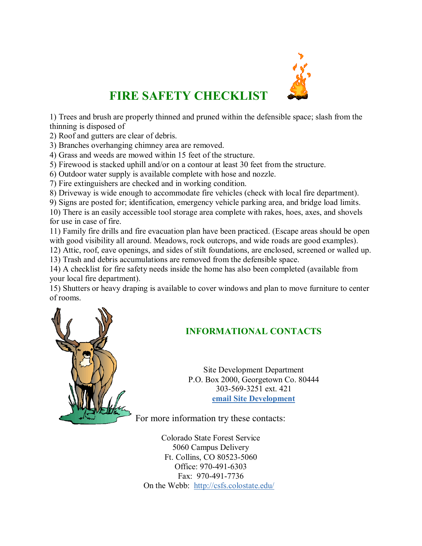

## **FIRE SAFETY CHECKLIST**

1) Trees and brush are properly thinned and pruned within the defensible space; slash from the thinning is disposed of

2) Roof and gutters are clear of debris.

3) Branches overhanging chimney area are removed.

4) Grass and weeds are mowed within 15 feet of the structure.

5) Firewood is stacked uphill and/or on a contour at least 30 feet from the structure.

6) Outdoor water supply is available complete with hose and nozzle.

7) Fire extinguishers are checked and in working condition.

8) Driveway is wide enough to accommodate fire vehicles (check with local fire department).

9) Signs are posted for; identification, emergency vehicle parking area, and bridge load limits.

10) There is an easily accessible tool storage area complete with rakes, hoes, axes, and shovels for use in case of fire.

11) Family fire drills and fire evacuation plan have been practiced. (Escape areas should be open with good visibility all around. Meadows, rock outcrops, and wide roads are good examples).

12) Attic, roof, eave openings, and sides of stilt foundations, are enclosed, screened or walled up.

13) Trash and debris accumulations are removed from the defensible space.

14) A checklist for fire safety needs inside the home has also been completed (available from your local fire department).

15) Shutters or heavy draping is available to cover windows and plan to move furniture to center of rooms.



## **INFORMATIONAL CONTACTS**

Site Development Department P.O. Box 2000, Georgetown Co. 80444 303-569-3251 ext. 421 **email Site Development**

For more information try these contacts:

Colorado State Forest Service 5060 Campus Delivery Ft. Collins, CO 80523-5060 Office: 970-491-6303 Fax: 970-491-7736 On the Webb: http://csfs.colostate.edu/